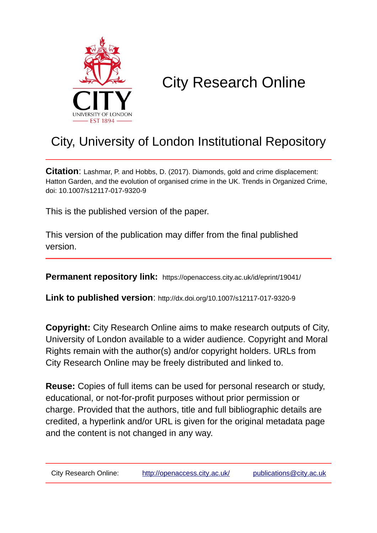

# City Research Online

## City, University of London Institutional Repository

**Citation**: Lashmar, P. and Hobbs, D. (2017). Diamonds, gold and crime displacement: Hatton Garden, and the evolution of organised crime in the UK. Trends in Organized Crime, doi: 10.1007/s12117-017-9320-9

This is the published version of the paper.

This version of the publication may differ from the final published version.

**Permanent repository link:** https://openaccess.city.ac.uk/id/eprint/19041/

**Link to published version**: http://dx.doi.org/10.1007/s12117-017-9320-9

**Copyright:** City Research Online aims to make research outputs of City, University of London available to a wider audience. Copyright and Moral Rights remain with the author(s) and/or copyright holders. URLs from City Research Online may be freely distributed and linked to.

**Reuse:** Copies of full items can be used for personal research or study, educational, or not-for-profit purposes without prior permission or charge. Provided that the authors, title and full bibliographic details are credited, a hyperlink and/or URL is given for the original metadata page and the content is not changed in any way.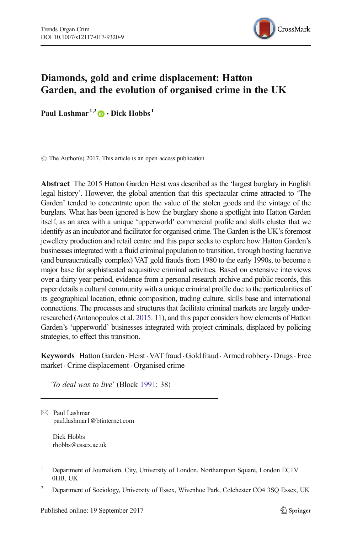

### Diamonds, gold and crime displacement: Hatton Garden, and the evolution of organised crime in the UK

Paul Lashmar<sup>1,2</sup>  $\bullet$   $\cdot$  Dick Hobbs<sup>1</sup>

 $\circ$  The Author(s) 2017. This article is an open access publication

Abstract The 2015 Hatton Garden Heist was described as the 'largest burglary in English legal history'. However, the global attention that this spectacular crime attracted to 'The Garden' tended to concentrate upon the value of the stolen goods and the vintage of the burglars. What has been ignored is how the burglary shone a spotlight into Hatton Garden itself, as an area with a unique 'upperworld' commercial profile and skills cluster that we identify as an incubator and facilitator for organised crime. The Garden is the UK's foremost jewellery production and retail centre and this paper seeks to explore how Hatton Garden's businesses integrated with a fluid criminal population to transition, through hosting lucrative (and bureaucratically complex) VAT gold frauds from 1980 to the early 1990s, to become a major base for sophisticated acquisitive criminal activities. Based on extensive interviews over a thirty year period, evidence from a personal research archive and public records, this paper details a cultural community with a unique criminal profile due to the particularities of its geographical location, ethnic composition, trading culture, skills base and international connections. The processes and structures that facilitate criminal markets are largely underresearched (Antonopoulos et al. [2015:](#page-19-0) 11), and this paper considers how elements of Hatton Garden's 'upperworld' businesses integrated with project criminals, displaced by policing strategies, to effect this transition.

Keywords Hatton Garden . Heist . VAT fraud . Gold fraud . Armed robbery . Drugs . Free market . Crime displacement . Organised crime

'To deal was to live' (Block [1991:](#page-20-0) 38)

 $\boxtimes$  Paul Lashmar [paul.lashmar1@btinternet.com](mailto:paul.lashmar1@btinternet.com)

> Dick Hobbs rhobbs@essex.ac.uk

- <sup>1</sup> Department of Journalism, City, University of London, Northampton Square, London EC1V 0HB, UK
- <sup>2</sup> Department of Sociology, University of Essex, Wivenhoe Park, Colchester CO4 3SQ Essex, UK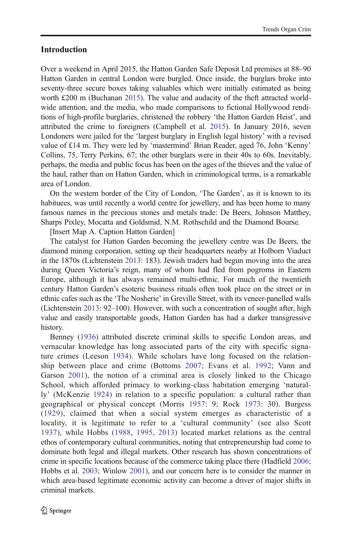#### Introduction

Over a weekend in April 2015, the Hatton Garden Safe Deposit Ltd premises at 88–90 Hatton Garden in central London were burgled. Once inside, the burglars broke into seventy-three secure boxes taking valuables which were initially estimated as being worth £200 m (Buchanan [2015](#page-20-0)). The value and audacity of the theft attracted worldwide attention, and the media, who made comparisons to fictional Hollywood renditions of high-profile burglaries, christened the robbery 'the Hatton Garden Heist', and attributed the crime to foreigners (Campbell et al. [2015\)](#page-20-0). In January 2016, seven Londoners were jailed for the 'largest burglary in English legal history' with a revised value of £14 m. They were led by 'mastermind' Brian Reader, aged 76, John 'Kenny' Collins, 75, Terry Perkins, 67; the other burglars were in their 40s to 60s. Inevitably, perhaps, the media and public focus has been on the ages of the thieves and the value of the haul, rather than on Hatton Garden, which in criminological terms, is a remarkable area of London.

On the western border of the City of London, 'The Garden', as it is known to its habituees, was until recently a world centre for jewellery, and has been home to many famous names in the precious stones and metals trade: De Beers, Johnson Matthey, Sharps Pixley, Mocatta and Goldsmid, N.M. Rothschild and the Diamond Bourse.

[Insert Map A. Caption Hatton Garden]

The catalyst for Hatton Garden becoming the jewellery centre was De Beers, the diamond mining corporation, setting up their headquarters nearby at Holborn Viaduct in the 1870s (Lichtenstein [2013:](#page-21-0) 183). Jewish traders had begun moving into the area during Queen Victoria's reign, many of whom had fled from pogroms in Eastern Europe, although it has always remained multi-ethnic. For much of the twentieth century Hatton Garden's esoteric business rituals often took place on the street or in ethnic cafes such as the 'The Nosherie' in Greville Street, with its veneer-panelled walls (Lichtenstein [2013:](#page-21-0) 92–100). However, with such a concentration of sought after, high value and easily transportable goods, Hatton Garden has had a darker transgressive history.

Benney [\(1936\)](#page-20-0) attributed discrete criminal skills to specific London areas, and vernacular knowledge has long associated parts of the city with specific signature crimes (Leeson [1934\)](#page-21-0). While scholars have long focused on the relationship between place and crime (Bottoms [2007;](#page-20-0) Evans et al. [1992;](#page-20-0) Vann and Garson [2001\)](#page-21-0), the notion of a criminal area is closely linked to the Chicago School, which afforded primacy to working-class habitation emerging 'naturally' (McKenzie [1924\)](#page-21-0) in relation to a specific population: a cultural rather than geographical or physical concept (Morris [1957](#page-21-0): 9; Rock [1973:](#page-21-0) 30). Burgess [\(1929](#page-20-0)), claimed that when a social system emerges as characteristic of a locality, it is legitimate to refer to a 'cultural community' (see also Scott [1937](#page-21-0)), while Hobbs ([1988](#page-20-0), [1995,](#page-20-0) [2013](#page-20-0)) located market relations as the central ethos of contemporary cultural communities, noting that entrepreneurship had come to dominate both legal and illegal markets. Other research has shown concentrations of crime in specific locations because of the commerce taking place there (Hadfield [2006;](#page-20-0) Hobbs et al. [2003;](#page-20-0) Winlow [2001\)](#page-22-0), and our concern here is to consider the manner in which area-based legitimate economic activity can become a driver of major shifts in criminal markets.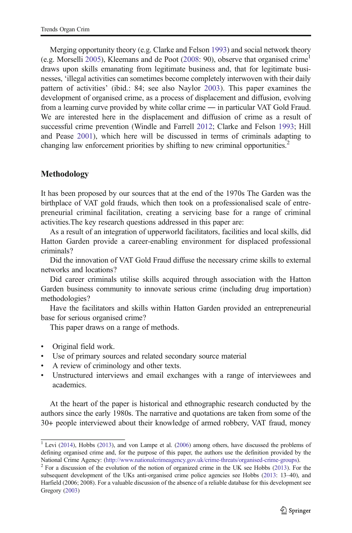Merging opportunity theory (e.g. Clarke and Felson [1993](#page-20-0)) and social network theory (e.g. Morselli [2005](#page-21-0)), Kleemans and de Poot [\(2008](#page-21-0): 90), observe that organised crime1 draws upon skills emanating from legitimate business and, that for legitimate businesses, 'illegal activities can sometimes become completely interwoven with their daily pattern of activities' (ibid.: 84; see also Naylor [2003](#page-21-0)). This paper examines the development of organised crime, as a process of displacement and diffusion, evolving from a learning curve provided by white collar crime ― in particular VAT Gold Fraud. We are interested here in the displacement and diffusion of crime as a result of successful crime prevention (Windle and Farrell [2012](#page-22-0); Clarke and Felson [1993](#page-20-0); Hill and Pease [2001](#page-20-0)), which here will be discussed in terms of criminals adapting to changing law enforcement priorities by shifting to new criminal opportunities.<sup>2</sup>

#### Methodology

It has been proposed by our sources that at the end of the 1970s The Garden was the birthplace of VAT gold frauds, which then took on a professionalised scale of entrepreneurial criminal facilitation, creating a servicing base for a range of criminal activities.The key research questions addressed in this paper are:

As a result of an integration of upperworld facilitators, facilities and local skills, did Hatton Garden provide a career-enabling environment for displaced professional criminals?

Did the innovation of VAT Gold Fraud diffuse the necessary crime skills to external networks and locations?

Did career criminals utilise skills acquired through association with the Hatton Garden business community to innovate serious crime (including drug importation) methodologies?

Have the facilitators and skills within Hatton Garden provided an entrepreneurial base for serious organised crime?

This paper draws on a range of methods.

- Original field work.
- & Use of primary sources and related secondary source material
- & A review of criminology and other texts.
- Unstructured interviews and email exchanges with a range of interviewees and academics.

At the heart of the paper is historical and ethnographic research conducted by the authors since the early 1980s. The narrative and quotations are taken from some of the 30+ people interviewed about their knowledge of armed robbery, VAT fraud, money

 $<sup>1</sup>$  Levi ([2014](#page-21-0)), Hobbs [\(2013](#page-20-0)), and von Lampe et al. [\(2006](#page-21-0)) among others, have discussed the problems of</sup> defining organised crime and, for the purpose of this paper, the authors use the definition provided by the National Crime Agency: [\(http://www.nationalcrimeagency.gov.uk/crime-threats/organised-crime-groups\)](http://www.nationalcrimeagency.gov.uk/crime-threats/organised-crime-groups). <sup>2</sup> For a discussion of the evolution of the notion of organized crime in the UK see Hobbs ([2013](#page-20-0)). For the

subsequent development of the UKs anti-organised crime police agencies see Hobbs [\(2013:](#page-20-0) 13-40), and Harfield (2006; 2008). For a valuable discussion of the absence of a reliable database for this development see Gregory [\(2003\)](#page-20-0)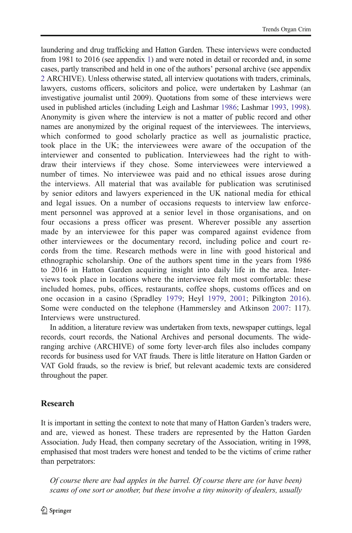laundering and drug trafficking and Hatton Garden. These interviews were conducted from 1981 to 2016 (see appendix 1) and were noted in detail or recorded and, in some cases, partly transcribed and held in one of the authors' personal archive (see appendix [2](#page-19-0) ARCHIVE). Unless otherwise stated, all interview quotations with traders, criminals, lawyers, customs officers, solicitors and police, were undertaken by Lashmar (an investigative journalist until 2009). Quotations from some of these interviews were used in published articles (including Leigh and Lashmar [1986;](#page-21-0) Lashmar [1993,](#page-19-0) [1998\)](#page-20-0). Anonymity is given where the interview is not a matter of public record and other names are anonymized by the original request of the interviewees. The interviews, which conformed to good scholarly practice as well as journalistic practice, took place in the UK; the interviewees were aware of the occupation of the interviewer and consented to publication. Interviewees had the right to withdraw their interviews if they chose. Some interviewees were interviewed a number of times. No interviewee was paid and no ethical issues arose during the interviews. All material that was available for publication was scrutinised by senior editors and lawyers experienced in the UK national media for ethical and legal issues. On a number of occasions requests to interview law enforcement personnel was approved at a senior level in those organisations, and on four occasions a press officer was present. Wherever possible any assertion made by an interviewee for this paper was compared against evidence from other interviewees or the documentary record, including police and court records from the time. Research methods were in line with good historical and ethnographic scholarship. One of the authors spent time in the years from 1986 to 2016 in Hatton Garden acquiring insight into daily life in the area. Interviews took place in locations where the interviewee felt most comfortable: these included homes, pubs, offices, restaurants, coffee shops, customs offices and on one occasion in a casino (Spradley [1979;](#page-21-0) Heyl [1979,](#page-20-0) [2001;](#page-20-0) Pilkington [2016\)](#page-21-0). Some were conducted on the telephone (Hammersley and Atkinson [2007:](#page-20-0) 117). Interviews were unstructured.

In addition, a literature review was undertaken from texts, newspaper cuttings, legal records, court records, the National Archives and personal documents. The wideranging archive (ARCHIVE) of some forty lever-arch files also includes company records for business used for VAT frauds. There is little literature on Hatton Garden or VAT Gold frauds, so the review is brief, but relevant academic texts are considered throughout the paper.

#### Research

It is important in setting the context to note that many of Hatton Garden's traders were, and are, viewed as honest. These traders are represented by the Hatton Garden Association. Judy Head, then company secretary of the Association, writing in 1998, emphasised that most traders were honest and tended to be the victims of crime rather than perpetrators:

Of course there are bad apples in the barrel. Of course there are (or have been) scams of one sort or another, but these involve a tiny minority of dealers, usually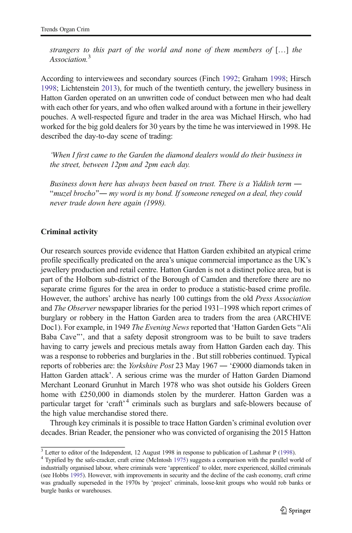strangers to this part of the world and none of them members of […] the Association.<sup>3</sup>

According to interviewees and secondary sources (Finch [1992](#page-20-0); Graham [1998;](#page-20-0) Hirsch [1998;](#page-20-0) Lichtenstein [2013](#page-21-0)), for much of the twentieth century, the jewellery business in Hatton Garden operated on an unwritten code of conduct between men who had dealt with each other for years, and who often walked around with a fortune in their jewellery pouches. A well-respected figure and trader in the area was Michael Hirsch, who had worked for the big gold dealers for 30 years by the time he was interviewed in 1998. He described the day-to-day scene of trading:

'When I first came to the Garden the diamond dealers would do their business in the street, between 12pm and 2pm each day.

Business down here has always been based on trust. There is a Yiddish term ― "muzel brocho"— my word is my bond. If someone reneged on a deal, they could never trade down here again (1998).

#### Criminal activity

Our research sources provide evidence that Hatton Garden exhibited an atypical crime profile specifically predicated on the area's unique commercial importance as the UK's jewellery production and retail centre. Hatton Garden is not a distinct police area, but is part of the Holborn sub-district of the Borough of Camden and therefore there are no separate crime figures for the area in order to produce a statistic-based crime profile. However, the authors' archive has nearly 100 cuttings from the old Press Association and The Observer newspaper libraries for the period 1931–1998 which report crimes of burglary or robbery in the Hatton Garden area to traders from the area (ARCHIVE Doc1). For example, in 1949 The Evening News reported that 'Hatton Garden Gets "Ali Baba Cave^', and that a safety deposit strongroom was to be built to save traders having to carry jewels and precious metals away from Hatton Garden each day. This was a response to robberies and burglaries in the . But still robberies continued. Typical reports of robberies are: the *Yorkshire Post* 23 May 1967 — '£9000 diamonds taken in Hatton Garden attack'. A serious crime was the murder of Hatton Garden Diamond Merchant Leonard Grunhut in March 1978 who was shot outside his Golders Green home with £250,000 in diamonds stolen by the murderer. Hatton Garden was a particular target for 'craft'<sup>4</sup> criminals such as burglars and safe-blowers because of the high value merchandise stored there.

Through key criminals it is possible to trace Hatton Garden's criminal evolution over decades. Brian Reader, the pensioner who was convicted of organising the 2015 Hatton

 $3$  Letter to editor of the Independent, 12 August 1998 in response to publication of Lashmar P [\(1998](#page-20-0)).  $4$  Typified by the safe-cracker, craft crime (McIntosh [1975](#page-21-0)) suggests a comparison with the parallel world of industrially organised labour, where criminals were 'apprenticed' to older, more experienced, skilled criminals (see Hobbs [1995](#page-20-0)). However, with improvements in security and the decline of the cash economy, craft crime was gradually superseded in the 1970s by 'project' criminals, loose-knit groups who would rob banks or burgle banks or warehouses.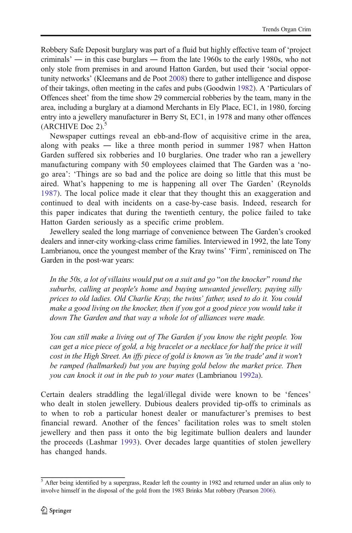Robbery Safe Deposit burglary was part of a fluid but highly effective team of 'project criminals' ― in this case burglars ― from the late 1960s to the early 1980s, who not only stole from premises in and around Hatton Garden, but used their 'social opportunity networks' (Kleemans and de Poot [2008\)](#page-21-0) there to gather intelligence and dispose of their takings, often meeting in the cafes and pubs (Goodwin [1982\)](#page-20-0). A 'Particulars of Offences sheet' from the time show 29 commercial robberies by the team, many in the area, including a burglary at a diamond Merchants in Ely Place, EC1, in 1980, forcing entry into a jewellery manufacturer in Berry St, EC1, in 1978 and many other offences  $(ARCHIVE Doc 2).$ <sup>5</sup>

Newspaper cuttings reveal an ebb-and-flow of acquisitive crime in the area, along with peaks ― like a three month period in summer 1987 when Hatton Garden suffered six robberies and 10 burglaries. One trader who ran a jewellery manufacturing company with 50 employees claimed that The Garden was a 'nogo area': 'Things are so bad and the police are doing so little that this must be aired. What's happening to me is happening all over The Garden' (Reynolds [1987](#page-21-0)). The local police made it clear that they thought this an exaggeration and continued to deal with incidents on a case-by-case basis. Indeed, research for this paper indicates that during the twentieth century, the police failed to take Hatton Garden seriously as a specific crime problem.

Jewellery sealed the long marriage of convenience between The Garden's crooked dealers and inner-city working-class crime families. Interviewed in 1992, the late Tony Lambrianou, once the youngest member of the Kray twins' 'Firm', reminisced on The Garden in the post-war years:

In the 50s, a lot of villains would put on a suit and go "on the knocker" round the suburbs, calling at people's home and buying unwanted jewellery, paying silly prices to old ladies. Old Charlie Kray, the twins' father, used to do it. You could make a good living on the knocker, then if you got a good piece you would take it down The Garden and that way a whole lot of alliances were made.

You can still make a living out of The Garden if you know the right people. You can get a nice piece of gold, a big bracelet or a necklace for half the price it will cost in the High Street. An iffy piece of gold is known as 'in the trade' and it won't be ramped (hallmarked) but you are buying gold below the market price. Then you can knock it out in the pub to your mates (Lambrianou [1992a\)](#page-21-0).

Certain dealers straddling the legal/illegal divide were known to be 'fences' who dealt in stolen jewellery. Dubious dealers provided tip-offs to criminals as to when to rob a particular honest dealer or manufacturer's premises to best financial reward. Another of the fences' facilitation roles was to smelt stolen jewellery and then pass it onto the big legitimate bullion dealers and launder the proceeds (Lashmar [1993](#page-19-0)). Over decades large quantities of stolen jewellery has changed hands.

<sup>&</sup>lt;sup>5</sup> After being identified by a supergrass, Reader left the country in 1982 and returned under an alias only to involve himself in the disposal of the gold from the 1983 Brinks Mat robbery (Pearson [2006\)](#page-21-0).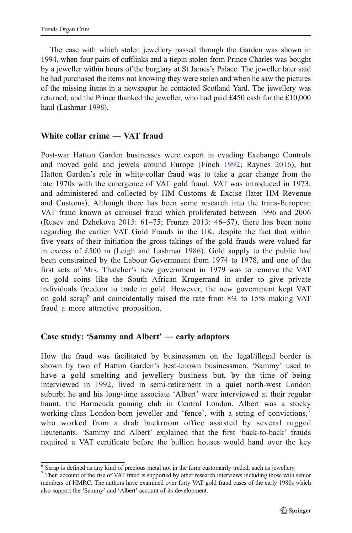The ease with which stolen jewellery passed through the Garden was shown in 1994, when four pairs of cufflinks and a tiepin stolen from Prince Charles was bought by a jeweller within hours of the burglary at St James's Palace. The jeweller later said he had purchased the items not knowing they were stolen and when he saw the pictures of the missing items in a newspaper he contacted Scotland Yard. The jewellery was returned, and the Prince thanked the jeweller, who had paid £450 cash for the £10,000 haul (Lashmar [1998](#page-20-0)).

#### White collar crime ― VAT fraud

Post-war Hatton Garden businesses were expert in evading Exchange Controls and moved gold and jewels around Europe (Finch [1992;](#page-20-0) Raynes [2016](#page-21-0)), but Hatton Garden's role in white-collar fraud was to take a gear change from the late 1970s with the emergence of VAT gold fraud. VAT was introduced in 1973, and administered and collected by HM Customs & Excise (later HM Revenue and Customs), Although there has been some research into the trans-European VAT fraud known as carousel fraud which proliferated between 1996 and 2006 (Rusev and Dzhekova [2015](#page-21-0): 61–75; Frunza [2013:](#page-20-0) 46–57), there has been none regarding the earlier VAT Gold Frauds in the UK, despite the fact that within five years of their initiation the gross takings of the gold frauds were valued far in excess of £500 m (Leigh and Lashmar [1986\)](#page-21-0). Gold supply to the public had been constrained by the Labour Government from 1974 to 1978, and one of the first acts of Mrs. Thatcher's new government in 1979 was to remove the VAT on gold coins like the South African Krugerrand in order to give private individuals freedom to trade in gold. However, the new government kept VAT on gold scrap<sup>6</sup> and coincidentally raised the rate from 8% to 15% making VAT fraud a more attractive proposition.

#### Case study: 'Sammy and Albert' ― early adaptors

How the fraud was facilitated by businessmen on the legal/illegal border is shown by two of Hatton Garden's best-known businessmen. 'Sammy' used to have a gold smelting and jewellery business but, by the time of being interviewed in 1992, lived in semi-retirement in a quiet north-west London suburb; he and his long-time associate 'Albert' were interviewed at their regular haunt, the Barracuda gaming club in Central London. Albert was a stocky working-class London-born jeweller and 'fence', with a string of convictions, who worked from a drab backroom office assisted by several rugged lieutenants. 'Sammy and Albert' explained that the first 'back-to-back' frauds required a VAT certificate before the bullion houses would hand over the key

<sup>6</sup> Scrap is defined as any kind of precious metal not in the form customarily traded, such as jewellery.

<sup>7</sup> Their account of the rise of VAT fraud is supported by other research interviews including those with senior members of HMRC. The authors have examined over forty VAT gold fraud cases of the early 1980s which also support the 'Sammy' and 'Albert' account of its development.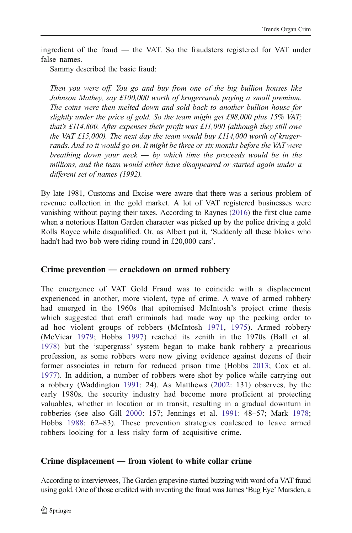ingredient of the fraud ― the VAT. So the fraudsters registered for VAT under false names.

Sammy described the basic fraud:

Then you were off. You go and buy from one of the big bullion houses like Johnson Mathey, say £100,000 worth of krugerrands paying a small premium. The coins were then melted down and sold back to another bullion house for slightly under the price of gold. So the team might get £98,000 plus 15% VAT; that's £114,800. After expenses their profit was £11,000 (although they still owe the VAT £15,000). The next day the team would buy £114,000 worth of krugerrands. And so it would go on. It might be three or six months before the VAT were breathing down your neck  $-$  by which time the proceeds would be in the millions, and the team would either have disappeared or started again under a different set of names (1992).

By late 1981, Customs and Excise were aware that there was a serious problem of revenue collection in the gold market. A lot of VAT registered businesses were vanishing without paying their taxes. According to Raynes ([2016](#page-21-0)) the first clue came when a notorious Hatton Garden character was picked up by the police driving a gold Rolls Royce while disqualified. Or, as Albert put it, 'Suddenly all these blokes who hadn't had two bob were riding round in £20,000 cars'.

#### Crime prevention ― crackdown on armed robbery

The emergence of VAT Gold Fraud was to coincide with a displacement experienced in another, more violent, type of crime. A wave of armed robbery had emerged in the 1960s that epitomised McIntosh's project crime thesis which suggested that craft criminals had made way up the pecking order to ad hoc violent groups of robbers (McIntosh [1971,](#page-21-0) [1975](#page-21-0)). Armed robbery (McVicar [1979](#page-21-0); Hobbs [1997\)](#page-20-0) reached its zenith in the 1970s (Ball et al. [1978](#page-20-0)) but the 'supergrass' system began to make bank robbery a precarious profession, as some robbers were now giving evidence against dozens of their former associates in return for reduced prison time (Hobbs [2013;](#page-20-0) Cox et al. [1977](#page-20-0)). In addition, a number of robbers were shot by police while carrying out a robbery (Waddington [1991](#page-22-0): 24). As Matthews ([2002](#page-21-0): 131) observes, by the early 1980s, the security industry had become more proficient at protecting valuables, whether in location or in transit, resulting in a gradual downturn in robberies (see also Gill [2000:](#page-20-0) 157; Jennings et al. [1991](#page-20-0): 48–57; Mark [1978;](#page-21-0) Hobbs [1988](#page-20-0): 62–83). These prevention strategies coalesced to leave armed robbers looking for a less risky form of acquisitive crime.

#### Crime displacement ― from violent to white collar crime

According to interviewees, The Garden grapevine started buzzing with word of a VAT fraud using gold. One of those credited with inventing the fraud was James'Bug Eye' Marsden, a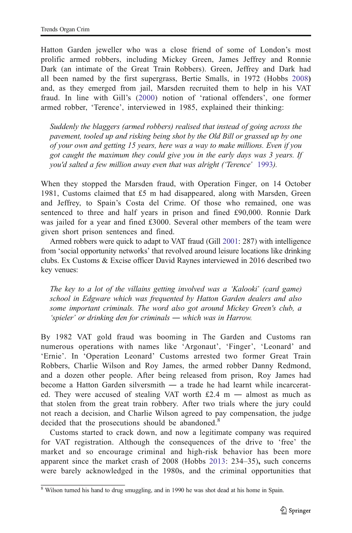Hatton Garden jeweller who was a close friend of some of London's most prolific armed robbers, including Mickey Green, James Jeffrey and Ronnie Dark (an intimate of the Great Train Robbers). Green, Jeffrey and Dark had all been named by the first supergrass, Bertie Smalls, in 1972 (Hobbs [2008](#page-20-0)) and, as they emerged from jail, Marsden recruited them to help in his VAT fraud. In line with Gill's ([2000](#page-20-0)) notion of 'rational offenders', one former armed robber, 'Terence', interviewed in 1985, explained their thinking:

Suddenly the blaggers (armed robbers) realised that instead of going across the pavement, tooled up and risking being shot by the Old Bill or grassed up by one of your own and getting 15 years, here was a way to make millions. Even if you got caught the maximum they could give you in the early days was 3 years. If you'd salted a few million away even that was alright ('Terence' [1993](#page-19-0)).

When they stopped the Marsden fraud, with Operation Finger, on 14 October 1981, Customs claimed that  $£5$  m had disappeared, along with Marsden, Green and Jeffrey, to Spain's Costa del Crime. Of those who remained, one was sentenced to three and half years in prison and fined £90,000. Ronnie Dark was jailed for a year and fined £3000. Several other members of the team were given short prison sentences and fined.

Armed robbers were quick to adapt to VAT fraud (Gill [2001:](#page-20-0) 287) with intelligence from 'social opportunity networks' that revolved around leisure locations like drinking clubs. Ex Customs & Excise officer David Raynes interviewed in 2016 described two key venues:

The key to a lot of the villains getting involved was a 'Kalooki' (card game) school in Edgware which was frequented by Hatton Garden dealers and also some important criminals. The word also got around Mickey Green's club, a 'spieler' or drinking den for criminals ― which was in Harrow.

By 1982 VAT gold fraud was booming in The Garden and Customs ran numerous operations with names like 'Argonaut', 'Finger', 'Leonard' and 'Ernie'. In 'Operation Leonard' Customs arrested two former Great Train Robbers, Charlie Wilson and Roy James, the armed robber Danny Redmond, and a dozen other people. After being released from prison, Roy James had become a Hatton Garden silversmith ― a trade he had learnt while incarcerated. They were accused of stealing VAT worth  $£2.4 \text{ m}$  – almost as much as that stolen from the great train robbery. After two trials where the jury could not reach a decision, and Charlie Wilson agreed to pay compensation, the judge decided that the prosecutions should be abandoned.<sup>8</sup>

Customs started to crack down, and now a legitimate company was required for VAT registration. Although the consequences of the drive to 'free' the market and so encourage criminal and high-risk behavior has been more apparent since the market crash of 2008 (Hobbs [2013:](#page-20-0) 234–35), such concerns were barely acknowledged in the 1980s, and the criminal opportunities that

<sup>&</sup>lt;sup>8</sup> Wilson turned his hand to drug smuggling, and in 1990 he was shot dead at his home in Spain.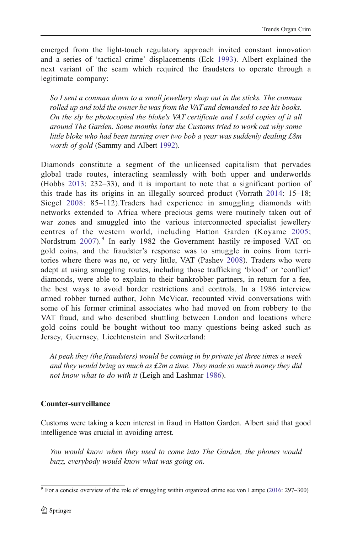emerged from the light-touch regulatory approach invited constant innovation and a series of 'tactical crime' displacements (Eck [1993\)](#page-20-0). Albert explained the next variant of the scam which required the fraudsters to operate through a legitimate company:

So I sent a conman down to a small jewellery shop out in the sticks. The conman rolled up and told the owner he was from the VAT and demanded to see his books. On the sly he photocopied the bloke's VAT certificate and I sold copies of it all around The Garden. Some months later the Customs tried to work out why some little bloke who had been turning over two bob a year was suddenly dealing £8m worth of gold (Sammy and Albert [1992\)](#page-21-0).

Diamonds constitute a segment of the unlicensed capitalism that pervades global trade routes, interacting seamlessly with both upper and underworlds (Hobbs [2013:](#page-20-0) 232–33), and it is important to note that a significant portion of this trade has its origins in an illegally sourced product (Vorrath [2014:](#page-22-0) 15–18; Siegel [2008:](#page-21-0) 85–112).Traders had experience in smuggling diamonds with networks extended to Africa where precious gems were routinely taken out of war zones and smuggled into the various interconnected specialist jewellery centres of the western world, including Hatton Garden (Koyame [2005;](#page-21-0) Nordstrum  $2007$ ).<sup>9</sup> In early 1982 the Government hastily re-imposed VAT on gold coins, and the fraudster's response was to smuggle in coins from territories where there was no, or very little, VAT (Pashev [2008\)](#page-21-0). Traders who were adept at using smuggling routes, including those trafficking 'blood' or 'conflict' diamonds, were able to explain to their bankrobber partners, in return for a fee, the best ways to avoid border restrictions and controls. In a 1986 interview armed robber turned author, John McVicar, recounted vivid conversations with some of his former criminal associates who had moved on from robbery to the VAT fraud, and who described shuttling between London and locations where gold coins could be bought without too many questions being asked such as Jersey, Guernsey, Liechtenstein and Switzerland:

At peak they (the fraudsters) would be coming in by private jet three times a week and they would bring as much as  $\pounds 2m$  a time. They made so much money they did not know what to do with it (Leigh and Lashmar [1986](#page-21-0)).

#### Counter-surveillance

Customs were taking a keen interest in fraud in Hatton Garden. Albert said that good intelligence was crucial in avoiding arrest.

You would know when they used to come into The Garden, the phones would buzz, everybody would know what was going on.

<sup>&</sup>lt;sup>9</sup> For a concise overview of the role of smuggling within organized crime see von Lampe ([2016](#page-21-0): 297–300)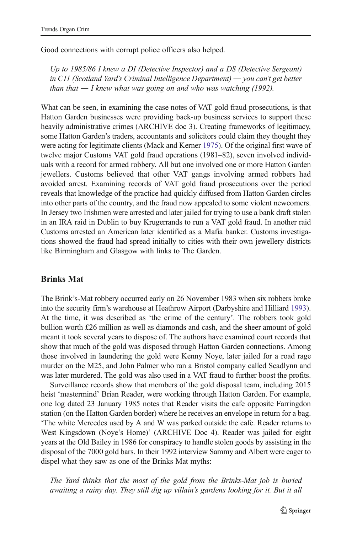Good connections with corrupt police officers also helped.

Up to 1985/86 I knew a DI (Detective Inspector) and a DS (Detective Sergeant) in C11 (Scotland Yard's Criminal Intelligence Department) ― you can't get better than that  $- I$  knew what was going on and who was watching (1992).

What can be seen, in examining the case notes of VAT gold fraud prosecutions, is that Hatton Garden businesses were providing back-up business services to support these heavily administrative crimes (ARCHIVE doc 3). Creating frameworks of legitimacy, some Hatton Garden's traders, accountants and solicitors could claim they thought they were acting for legitimate clients (Mack and Kerner [1975\)](#page-21-0). Of the original first wave of twelve major Customs VAT gold fraud operations (1981–82), seven involved individuals with a record for armed robbery. All but one involved one or more Hatton Garden jewellers. Customs believed that other VAT gangs involving armed robbers had avoided arrest. Examining records of VAT gold fraud prosecutions over the period reveals that knowledge of the practice had quickly diffused from Hatton Garden circles into other parts of the country, and the fraud now appealed to some violent newcomers. In Jersey two Irishmen were arrested and later jailed for trying to use a bank draft stolen in an IRA raid in Dublin to buy Krugerrands to run a VAT gold fraud. In another raid Customs arrested an American later identified as a Mafia banker. Customs investigations showed the fraud had spread initially to cities with their own jewellery districts like Birmingham and Glasgow with links to The Garden.

#### Brinks Mat

The Brink's-Mat robbery occurred early on 26 November 1983 when six robbers broke into the security firm's warehouse at Heathrow Airport (Darbyshire and Hilliard [1993\)](#page-20-0). At the time, it was described as 'the crime of the century'. The robbers took gold bullion worth £26 million as well as diamonds and cash, and the sheer amount of gold meant it took several years to dispose of. The authors have examined court records that show that much of the gold was disposed through Hatton Garden connections. Among those involved in laundering the gold were Kenny Noye, later jailed for a road rage murder on the M25, and John Palmer who ran a Bristol company called Scadlynn and was later murdered. The gold was also used in a VAT fraud to further boost the profits.

Surveillance records show that members of the gold disposal team, including 2015 heist 'mastermind' Brian Reader, were working through Hatton Garden. For example, one log dated 23 January 1985 notes that Reader visits the cafe opposite Farringdon station (on the Hatton Garden border) where he receives an envelope in return for a bag. 'The white Mercedes used by A and W was parked outside the cafe. Reader returns to West Kingsdown (Noye's Home)' (ARCHIVE Doc 4). Reader was jailed for eight years at the Old Bailey in 1986 for conspiracy to handle stolen goods by assisting in the disposal of the 7000 gold bars. In their 1992 interview Sammy and Albert were eager to dispel what they saw as one of the Brinks Mat myths:

The Yard thinks that the most of the gold from the Brinks-Mat job is buried awaiting a rainy day. They still dig up villain's gardens looking for it. But it all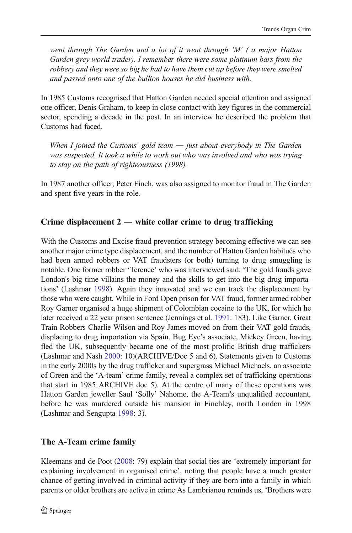went through The Garden and a lot of it went through 'M' ( a major Hatton Garden grey world trader). I remember there were some platinum bars from the robbery and they were so big he had to have them cut up before they were smelted and passed onto one of the bullion houses he did business with.

In 1985 Customs recognised that Hatton Garden needed special attention and assigned one officer, Denis Graham, to keep in close contact with key figures in the commercial sector, spending a decade in the post. In an interview he described the problem that Customs had faced.

When I joined the Customs' gold team  $-$  just about everybody in The Garden was suspected. It took a while to work out who was involved and who was trying to stay on the path of righteousness (1998).

In 1987 another officer, Peter Finch, was also assigned to monitor fraud in The Garden and spent five years in the role.

#### Crime displacement  $2$  — white collar crime to drug trafficking

With the Customs and Excise fraud prevention strategy becoming effective we can see another major crime type displacement, and the number of Hatton Garden habitués who had been armed robbers or VAT fraudsters (or both) turning to drug smuggling is notable. One former robber 'Terence' who was interviewed said: 'The gold frauds gave London's big time villains the money and the skills to get into the big drug importations' (Lashmar [1998\)](#page-20-0). Again they innovated and we can track the displacement by those who were caught. While in Ford Open prison for VAT fraud, former armed robber Roy Garner organised a huge shipment of Colombian cocaine to the UK, for which he later received a 22 year prison sentence (Jennings et al. [1991](#page-20-0): 183). Like Garner, Great Train Robbers Charlie Wilson and Roy James moved on from their VAT gold frauds, displacing to drug importation via Spain. Bug Eye's associate, Mickey Green, having fled the UK, subsequently became one of the most prolific British drug traffickers (Lashmar and Nash [2000](#page-20-0): 10)(ARCHIVE/Doc 5 and 6). Statements given to Customs in the early 2000s by the drug trafficker and supergrass Michael Michaels, an associate of Green and the 'A-team' crime family, reveal a complex set of trafficking operations that start in 1985 ARCHIVE doc 5). At the centre of many of these operations was Hatton Garden jeweller Saul 'Solly' Nahome, the A-Team's unqualified accountant, before he was murdered outside his mansion in Finchley, north London in 1998 (Lashmar and Sengupta [1998:](#page-20-0) 3).

#### The A-Team crime family

Kleemans and de Poot ([2008](#page-21-0): 79) explain that social ties are 'extremely important for explaining involvement in organised crime', noting that people have a much greater chance of getting involved in criminal activity if they are born into a family in which parents or older brothers are active in crime As Lambrianou reminds us, 'Brothers were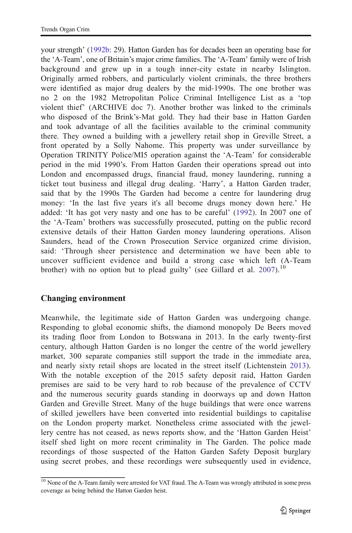your strength' [\(1992b](#page-21-0): 29). Hatton Garden has for decades been an operating base for the 'A-Team', one of Britain's major crime families. The 'A-Team' family were of Irish background and grew up in a tough inner-city estate in nearby Islington. Originally armed robbers, and particularly violent criminals, the three brothers were identified as major drug dealers by the mid-1990s. The one brother was no 2 on the 1982 Metropolitan Police Criminal Intelligence List as a 'top violent thief' (ARCHIVE doc 7). Another brother was linked to the criminals who disposed of the Brink's-Mat gold. They had their base in Hatton Garden and took advantage of all the facilities available to the criminal community there. They owned a building with a jewellery retail shop in Greville Street, a front operated by a Solly Nahome. This property was under surveillance by Operation TRINITY Police/MI5 operation against the 'A-Team' for considerable period in the mid 1990's. From Hatton Garden their operations spread out into London and encompassed drugs, financial fraud, money laundering, running a ticket tout business and illegal drug dealing. 'Harry', a Hatton Garden trader, said that by the 1990s The Garden had become a centre for laundering drug money: 'In the last five years it's all become drugs money down here.' He added: 'It has got very nasty and one has to be careful' ([1992](#page-20-0)). In 2007 one of the 'A-Team' brothers was successfully prosecuted, putting on the public record extensive details of their Hatton Garden money laundering operations. Alison Saunders, head of the Crown Prosecution Service organized crime division, said: 'Through sheer persistence and determination we have been able to uncover sufficient evidence and build a strong case which left (A-Team brother) with no option but to plead guilty' (see Gillard et al.  $2007$ ).<sup>10</sup>

#### Changing environment

Meanwhile, the legitimate side of Hatton Garden was undergoing change. Responding to global economic shifts, the diamond monopoly De Beers moved its trading floor from London to Botswana in 2013. In the early twenty-first century, although Hatton Garden is no longer the centre of the world jewellery market, 300 separate companies still support the trade in the immediate area, and nearly sixty retail shops are located in the street itself (Lichtenstein [2013\)](#page-21-0). With the notable exception of the 2015 safety deposit raid, Hatton Garden premises are said to be very hard to rob because of the prevalence of CCTV and the numerous security guards standing in doorways up and down Hatton Garden and Greville Street. Many of the huge buildings that were once warrens of skilled jewellers have been converted into residential buildings to capitalise on the London property market. Nonetheless crime associated with the jewellery centre has not ceased, as news reports show, and the 'Hatton Garden Heist' itself shed light on more recent criminality in The Garden. The police made recordings of those suspected of the Hatton Garden Safety Deposit burglary using secret probes, and these recordings were subsequently used in evidence,

<sup>&</sup>lt;sup>10</sup> None of the A-Team family were arrested for VAT fraud. The A-Team was wrongly attributed in some press coverage as being behind the Hatton Garden heist.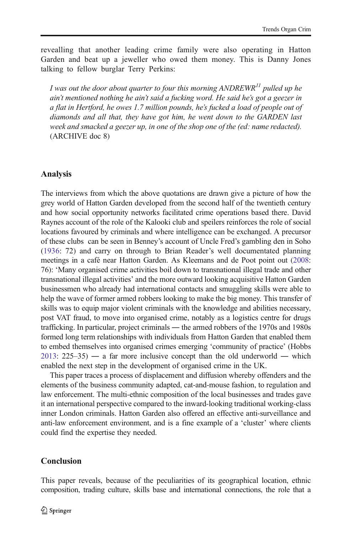revealling that another leading crime family were also operating in Hatton Garden and beat up a jeweller who owed them money. This is Danny Jones talking to fellow burglar Terry Perkins:

I was out the door about quarter to four this morning  $ANDREWR<sup>11</sup>$  pulled up he ain't mentioned nothing he ain't said a fucking word. He said he's got a geezer in a flat in Hertford, he owes 1.7 million pounds, he's fucked a load of people out of diamonds and all that, they have got him, he went down to the GARDEN last week and smacked a geezer up, in one of the shop one of the (ed: name redacted). (ARCHIVE doc 8)

#### Analysis

The interviews from which the above quotations are drawn give a picture of how the grey world of Hatton Garden developed from the second half of the twentieth century and how social opportunity networks facilitated crime operations based there. David Raynes account of the role of the Kalooki club and speilers reinforces the role of social locations favoured by criminals and where intelligence can be exchanged. A precursor of these clubs can be seen in Benney's account of Uncle Fred's gambling den in Soho [\(1936](#page-20-0): 72) and carry on through to Brian Reader's well documentated planning meetings in a café near Hatton Garden. As Kleemans and de Poot point out [\(2008:](#page-21-0) 76): 'Many organised crime activities boil down to transnational illegal trade and other transnational illegal activities' and the more outward looking acquisitive Hatton Garden businessmen who already had international contacts and smuggling skills were able to help the wave of former armed robbers looking to make the big money. This transfer of skills was to equip major violent criminals with the knowledge and abilities necessary, post VAT fraud, to move into organised crime, notably as a logistics centre for drugs trafficking. In particular, project criminals ― the armed robbers of the 1970s and 1980s formed long term relationships with individuals from Hatton Garden that enabled them to embed themselves into organised crimes emerging 'community of practice' (Hobbs  $2013: 225-35$  $2013: 225-35$  — a far more inclusive concept than the old underworld — which enabled the next step in the development of organised crime in the UK.

This paper traces a process of displacement and diffusion whereby offenders and the elements of the business community adapted, cat-and-mouse fashion, to regulation and law enforcement. The multi-ethnic composition of the local businesses and trades gave it an international perspective compared to the inward-looking traditional working-class inner London criminals. Hatton Garden also offered an effective anti-surveillance and anti-law enforcement environment, and is a fine example of a 'cluster' where clients could find the expertise they needed.

#### Conclusion

This paper reveals, because of the peculiarities of its geographical location, ethnic composition, trading culture, skills base and international connections, the role that a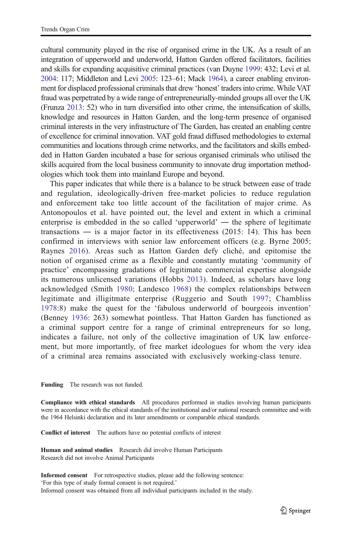cultural community played in the rise of organised crime in the UK. As a result of an integration of upperworld and underworld, Hatton Garden offered facilitators, facilities and skills for expanding acquisitive criminal practices (van Duyne [1999](#page-21-0): 432; Levi et al. [2004](#page-21-0): 117; Middleton and Levi [2005:](#page-21-0) 123–61; Mack [1964\)](#page-21-0), a career enabling environment for displaced professional criminals that drew 'honest' traders into crime. While VAT fraud was perpetrated by a wide range of entrepreneurially-minded groups all over the UK (Frunza [2013:](#page-20-0) 52) who in turn diversified into other crime, the intensification of skills, knowledge and resources in Hatton Garden, and the long-term presence of organised criminal interests in the very infrastructure of The Garden, has created an enabling centre of excellence for criminal innovation. VAT gold fraud diffused methodologies to external communities and locations through crime networks, and the facilitators and skills embedded in Hatton Garden incubated a base for serious organised criminals who utilised the skills acquired from the local business community to innovate drug importation methodologies which took them into mainland Europe and beyond.

This paper indicates that while there is a balance to be struck between ease of trade and regulation, ideologically-driven free-market policies to reduce regulation and enforcement take too little account of the facilitation of major crime. As Antonopoulos et al. have pointed out, the level and extent in which a criminal enterprise is embedded in the so called 'upperworld' ― the sphere of legitimate transactions ― is a major factor in its effectiveness (2015: 14). This has been confirmed in interviews with senior law enforcement officers (e.g. Byrne 2005; Raynes [2016\)](#page-21-0). Areas such as Hatton Garden defy cliché, and epitomise the notion of organised crime as a flexible and constantly mutating 'community of practice' encompassing gradations of legitimate commercial expertise alongside its numerous unlicensed variations (Hobbs [2013\)](#page-20-0). Indeed, as scholars have long acknowledged (Smith [1980;](#page-21-0) Landesco [1968\)](#page-21-0) the complex relationships between legitimate and illigitmate enterprise (Ruggerio and South [1997;](#page-21-0) Chambliss [1978](#page-20-0):8) make the quest for the 'fabulous underworld of bourgeois invention' (Benney [1936:](#page-20-0) 263) somewhat pointless. That Hatton Garden has functioned as a criminal support centre for a range of criminal entrepreneurs for so long, indicates a failure, not only of the collective imagination of UK law enforcement, but more importantly, of free market ideologues for whom the very idea of a criminal area remains associated with exclusively working-class tenure.

Funding The research was not funded.

Compliance with ethical standards All procedures performed in studies involving human participants were in accordance with the ethical standards of the institutional and/or national research committee and with the 1964 Helsinki declaration and its later amendments or comparable ethical standards.

Conflict of interest The authors have no potential conflicts of interest

Human and animal studies Research did involve Human Participants Research did not involve Animal Participants

Informed consent For retrospective studies, please add the following sentence: 'For this type of study formal consent is not required.' Informed consent was obtained from all individual participants included in the study.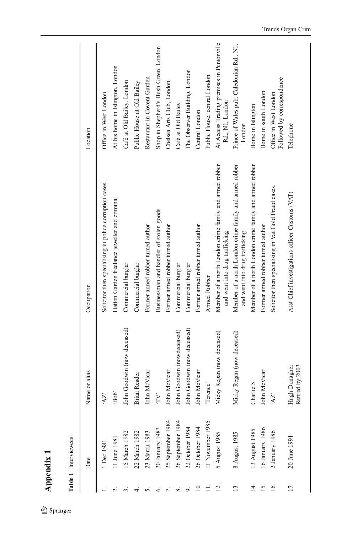|       | Table 1 Interviewees |                                  |                                                                                          |                                                              |
|-------|----------------------|----------------------------------|------------------------------------------------------------------------------------------|--------------------------------------------------------------|
|       | Date                 | Name or alias                    | Occupation                                                                               | Location                                                     |
|       | 1 Dec 1981           | X                                | Solicitor then specialising in police corruption cases.                                  | Office in West London                                        |
|       | 11 June 1981         | 'Bob'                            | Hatton Garden freelance jeweller and criminal                                            | At his home in Islington, London                             |
|       | 15 March 1982        | John Goodwin (now deceased)      | Commercial burglar                                                                       | Café at Old Bailey, London                                   |
|       | 22 March 1982        | <b>Brian Reader</b>              | Commercial burglar                                                                       | Public House at Old Bailey                                   |
|       | 23 March 1983        | John McVicar                     | Former armed robber turned author                                                        | Restaurant in Covent Garden                                  |
|       | 20 January 1983      | $\Delta L$                       | Businessman and handler of stolen goods                                                  | Shop in Shepherd's Bush Green, London                        |
|       | 25 September 1984    | John McVicar                     | Former armed robber turned author                                                        | Chelsea Arts Club, London.                                   |
| ∞ं    | 26 September 1984    | John Goodwin (nowdeceased)       | Commercial burglar                                                                       | Café at Old Bailey                                           |
|       | 22 October 1984      | John Goodwin (now deceased)      | Commercial burglar                                                                       | The Observer Building, London                                |
| $\Xi$ | 26 October 1984      | John McVicar                     | Former armed robber turned author                                                        | Central London                                               |
|       | 11 November 1985     | 'Terence'                        | Armed Robber                                                                             | Public House, central London                                 |
| 12.   | 5 August 1985        | Micky Regan (now deceased)       | Member of a north London crime family and armed robber<br>and went into drug trafficking | At Access Trading premises in Pentonville<br>Rd., N1, London |
| 13.   | 8 August 1985        | Micky Regan (now deceased)       | Member of a north London crime family and armed robber<br>and went into drug trafficking | Prince of Wales pub, Caledonian Rd., N1,<br>London           |
| 4.    | 13 August 1985       | Charlie S                        | Member of a north London crime family and armed robber                                   | Home in Islington                                            |
| 15.   | 16 January 1986      | John McVicar                     | Former armed robber turned author                                                        | Home in south London                                         |
| 16.   | 2 January 1986       | ZX,                              | Solicitor then specialising in Vat Gold Fraud cases.                                     | Followed by correspondence<br>Office in West London          |
| 17.   | 20 June 1991         | Retired by 2003<br>Hugh Donagher | Asst Chief investigations officer Customs (VAT)                                          | Telephone                                                    |

Appendix 1 Appendix 1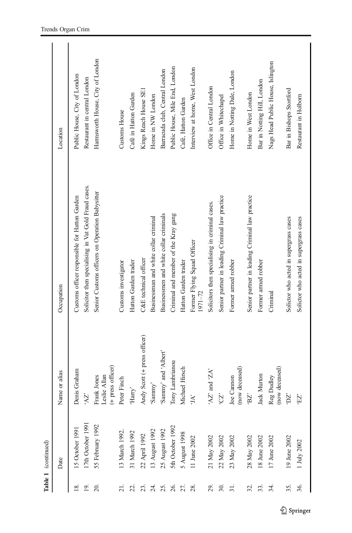|                   | Table 1 (continued)  |                                                  |                                                      |                                   |
|-------------------|----------------------|--------------------------------------------------|------------------------------------------------------|-----------------------------------|
|                   | Date                 | Name or alias                                    | Occupation                                           | Location                          |
| $\overline{18}$   | 15 October 1991      | Denis Graham                                     | Customs officer responsible for Hatton Garden        | Public House, City of London      |
| $\overline{5}$    | 17th October 1991    | TV,                                              | Solicitor then specialising in Vat Gold Fraud cases. | Restaurant in central London      |
| 20.               | 55 February 1992     | Frank Jones<br>Leslie Allan<br>(+ press officer) | Senior Customs officers on Operation Babysitter      | Harmsworth House, City of London  |
| $\overline{z}$    | 13 March 1992.       | Peter Finch                                      | Customs investigator                                 | Customs House                     |
| Σi                | 31 March 1992        | $^{\prime}\text{Harry}$                          | Hatton Garden trader                                 | Café in Hatton Garden             |
| 23.               | 22 April 1992        | Andy Scott (+ press officer)                     | C&E technical officer                                | Kings Reach House SE1             |
| 24.               | 13 August 1992       | 'Sanmy'                                          | Businessman and white collar criminal                | Home in NW London                 |
| 25.               | 25 August 1992       | 'Sammy' and 'Albert'                             | Businessmen and white collar criminals               | Barracuda club, Central London    |
| 26.               | 5th October 1992     | Tony Lambrianou                                  | Criminal and member of the Kray gang                 | Public House, Mile End, London    |
| 27.               | 5 August 1998        | Michael Hirsch                                   | Hatton Garden trader                                 | Café, Hatton Garden               |
| 28.               | 11 June 2002         | $\mathbf{A}$                                     | Former Flying Squad Officer<br>1971-72               | Interview at home, West London    |
| 29.               | 21 May 2002          | 'AZ' and 'ZA'                                    | Solicitors then specialising in criminal cases.      | Office in Central London          |
| 30.               | 22 May 2002          | $\ddot{C}$                                       | Senior partner in leading Criminal law practice      | Office in Whitechapel             |
| $\overline{31}$ . | 23 May 2002          | (now deceased)<br>Joe Cannon                     | Former armed robber                                  | Home in Notting Dale, London      |
| 32.               | 28 May 2002          | $BZ$                                             | Senior partner in leading Criminal law practice      | Home in West London               |
| 33.               | $18\,$ June $2002\,$ | Jack Murton                                      | Former armed robber                                  | Bar in Notting Hill, London       |
| 34.               | 17 June 2002         | (now deceased)<br>Reg Dudley                     | Criminal                                             | Nags Head Public House, Islington |
| 35.               | 19 June 2002         | $\overline{\text{DZ}}$                           | Solictor who acted in supergrass cases               | Bar in Bishops Stortford          |
| 36.               | $1$ July $2002\,$    | $\ensuremath{\mathrm{E}}\ensuremath{\mathrm{Z}}$ | Solictor who acted in supergrass cases               | Restaurant in Holborn             |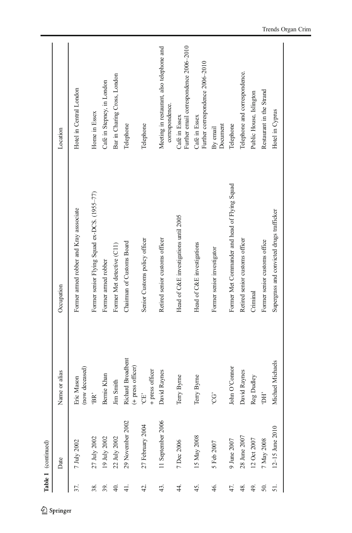|                   | Table 1 (continued) |                                        |                                               |                                                              |
|-------------------|---------------------|----------------------------------------|-----------------------------------------------|--------------------------------------------------------------|
|                   | Date                | Name or alias                          | Occupation                                    | Location                                                     |
| 37.               | 7 July 2002         | (now deceased)<br>Eric Mason           | Former armed robber and Kray asssociate       | Hotel in Central London                                      |
| 38.               | 27 July 2002        | 'BR'                                   | Former senior Flying Squad ex-DCS. (1955-77)  | Home in Essex                                                |
| 39.               | 19 July 2002        | Bemie Khan                             | Former armed robber                           | Café in Stepney, in London                                   |
| $\overline{40}$ . | 22 July 2002        | Jim Smith                              | Former Met detective (C11)                    | Bar in Charing Cross, London                                 |
| $\frac{1}{4}$ .   | 29 November 2002    | Richard Broadbent<br>(+ press officer) | Chairman of Customs Board                     | Telephone                                                    |
| 42.               | 27 February 2004    | + press officer<br>GC.                 | Senior Customs policy officer                 | Telephone                                                    |
| 43.               | 11 September 2006   | David Raynes                           | Retired senior customs officer                | Meeting in restaurant, also telephone and<br>correspondence. |
| 4                 | 7 Dec 2006          | Terry Byrne                            | Head of C&E investigations until 2005         | Further email correspondence 2006-2010<br>Café in Essex      |
| 45.               | 15 May 2008         | Terry Byrne                            | Head of C&E investigations                    | Further correspondence 2006-2010<br>Café in Essex            |
| 46.               | 5 Feb 2007          | Ġ.                                     | Former senior investigator                    | Document<br>By email                                         |
| 47.               | 9 June 2007         | John O'Connor                          | Former Met Commander and head of Flying Squad | Telephone                                                    |
| 48.               | 28 June 2007        | David Raynes                           | Retired senior customs officer                | Telephone and correspondence.                                |
| 49.               | 12 Oct 2007         | Reg Dudley                             | Criminal                                      | Public House, Islington                                      |
| 50.               | 7 May 2008          | <b>FIG.</b>                            | Former senior customs office                  | Restaurant in the Strand                                     |
| 51.               | $12 - 15$ June 2010 | Michael Michaels                       | Supergrass and convicted drugs trafficker     | Hotel in Cyprus                                              |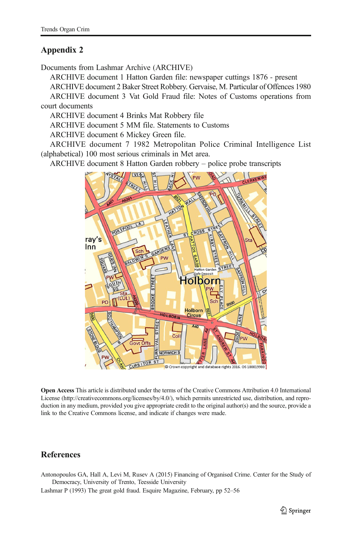#### <span id="page-19-0"></span>Appendix 2

Documents from Lashmar Archive (ARCHIVE)

ARCHIVE document 1 Hatton Garden file: newspaper cuttings 1876 - present ARCHIVE document 2 Baker Street Robbery. Gervaise, M. Particular of Offences 1980 ARCHIVE document 3 Vat Gold Fraud file: Notes of Customs operations from court documents

ARCHIVE document 4 Brinks Mat Robbery file

ARCHIVE document 5 MM file. Statements to Customs

ARCHIVE document 6 Mickey Green file.

ARCHIVE document 7 1982 Metropolitan Police Criminal Intelligence List (alphabetical) 100 most serious criminals in Met area.

ARCHIVE document 8 Hatton Garden robbery – police probe transcripts



Open Access This article is distributed under the terms of the Creative Commons Attribution 4.0 International License (http://creativecommons.org/licenses/by/4.0/), which permits unrestricted use, distribution, and reproduction in any medium, provided you give appropriate credit to the original author(s) and the source, provide a link to the Creative Commons license, and indicate if changes were made.

#### **References**

Antonopoulos GA, Hall A, Levi M, Rusev A (2015) Financing of Organised Crime. Center for the Study of Democracy, University of Trento, Teesside University

Lashmar P (1993) The great gold fraud. Esquire Magazine, February, pp 52–56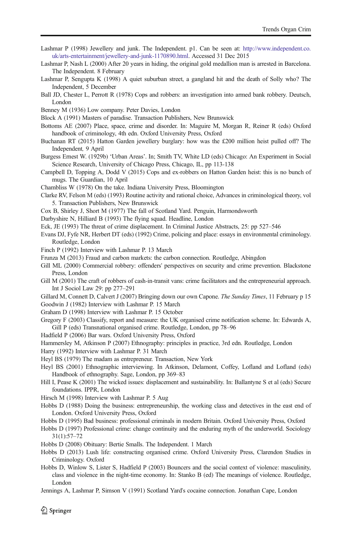- <span id="page-20-0"></span>Lashmar P (1998) Jewellery and junk. The Independent. p1. Can be seen at: [http://www.independent.co.](http://www.independent.co.uk/arts-entertainment/jewellery-and-junk-1170890.html) [uk/arts-entertainment/jewellery-and-junk-1170890.html](http://www.independent.co.uk/arts-entertainment/jewellery-and-junk-1170890.html). Accessed 31 Dec 2015
- Lashmar P, Nash L (2000) After 20 years in hiding, the original gold medallion man is arrested in Barcelona. The Independent. 8 February
- Lashmar P, Sengupta K (1998) A quiet suburban street, a gangland hit and the death of Solly who? The Independent, 5 December
- Ball JD, Chester L, Perrott R (1978) Cops and robbers: an investigation into armed bank robbery. Deutsch, London
- Benney M (1936) Low company. Peter Davies, London
- Block A (1991) Masters of paradise. Transaction Publishers, New Brunswick
- Bottoms AE (2007) Place, space, crime and disorder. In: Maguire M, Morgan R, Reiner R (eds) Oxford handbook of criminology, 4th edn. Oxford University Press, Oxford
- Buchanan RT (2015) Hatton Garden jewellery burglary: how was the £200 million heist pulled off? The Independent, 9 April
- Burgess Ernest W. (1929b) 'Urban Areas'. In; Smith TV, White LD (eds) Chicago: An Experiment in Social Science Research, University of Chicago Press, Chicago, IL, pp 113-138
- Campbell D, Topping A, Dodd V (2015) Cops and ex-robbers on Hatton Garden heist: this is no bunch of mugs. The Guardian, 10 April
- Chambliss W (1978) On the take. Indiana University Press, Bloomington
- Clarke RV, Felson M (eds) (1993) Routine activity and rational choice, Advances in criminological theory, vol 5. Transaction Publishers, New Brunswick
- Cox B, Shirley J, Short M (1977) The fall of Scotland Yard. Penguin, Harmondsworth
- Darbyshire N, Hilliard B (1993) The flying squad. Headline, London
- Eck, JE (1993) The threat of crime displacement. In Criminal Justice Abstracts, 25: pp 527–546
- Evans DJ, Fyfe NR, Herbert DT (eds) (1992) Crime, policing and place: essays in environmental criminology. Routledge, London
- Finch P (1992) Interview with Lashmar P. 13 March
- Frunza M (2013) Fraud and carbon markets: the carbon connection. Routledge, Abingdon
- Gill ML (2000) Commercial robbery: offenders' perspectives on security and crime prevention. Blackstone Press, London
- Gill M (2001) The craft of robbers of cash-in-transit vans: crime facilitators and the entrepreneurial approach. Int J Sociol Law 29: pp 277–291
- Gillard M, Connett D, Calvert J (2007) Bringing down our own Capone. The Sunday Times, 11 February p 15
- Goodwin J (1982) Interview with Lashmar P. 15 March
- Graham D (1998) Interview with Lashmar P. 15 October
- Gregory F (2003) Classify, report and measure: the UK organised crime notification scheme. In: Edwards A, Gill P (eds) Transnational organised crime. Routledge, London, pp 78–96
- Hadfield P (2006) Bar wars. Oxford University Press, Oxford

Hammersley M, Atkinson P (2007) Ethnography: principles in practice, 3rd edn. Routledge, London

- Harry (1992) Interview with Lashmar P. 31 March
- Heyl BS (1979) The madam as entrepreneur. Transaction, New York
- Heyl BS (2001) Ethnographic interviewing. In Atkinson, Delamont, Coffey, Lofland and Lofland (eds) Handbook of ethnography. Sage, London, pp 369–83
- Hill I, Pease K (2001) The wicked issues: displacement and sustainability. In: Ballantyne S et al (eds) Secure foundations. IPPR, London
- Hirsch M (1998) Interview with Lashmar P. 5 Aug
- Hobbs D (1988) Doing the business: entrepreneurship, the working class and detectives in the east end of London. Oxford University Press, Oxford
- Hobbs D (1995) Bad business: professional criminals in modern Britain. Oxford University Press, Oxford
- Hobbs D (1997) Professional crime: change continuity and the enduring myth of the underworld. Sociology 31(1):57–72
- Hobbs D (2008) Obituary: Bertie Smalls. The Independent. 1 March
- Hobbs D (2013) Lush life: constructing organised crime. Oxford University Press, Clarendon Studies in Criminology. Oxford
- Hobbs D, Winlow S, Lister S, Hadfield P (2003) Bouncers and the social context of violence: masculinity, class and violence in the night-time economy. In: Stanko B (ed) The meanings of violence. Routledge, London
- Jennings A, Lashmar P, Simson V (1991) Scotland Yard's cocaine connection. Jonathan Cape, London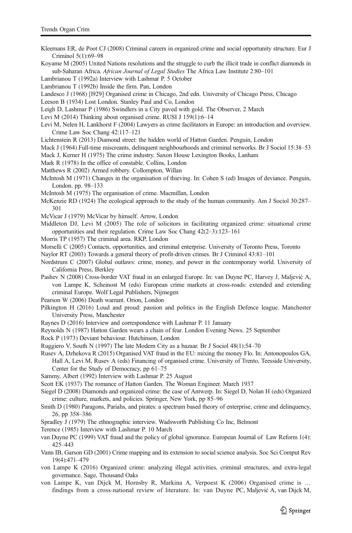<span id="page-21-0"></span>Kleemans ER, de Poot CJ (2008) Criminal careers in organized crime and social opportunity structure. Eur J Criminol 5(1):69–98 Koyame M (2005) United Nations resolutions and the struggle to curb the illicit trade in conflict diamonds in sub-Saharan Africa. African Journal of Legal Studies The Africa Law Institute 2:80–101 Lambrianou T (1992a) Interview with Lashmar P. 5 October Lambrianou T (1992b) Inside the firm. Pan, London Landesco J (1968) [l929] Organised crime in Chicago, 2nd edn. University of Chicago Press, Chicago Leeson B (1934) Lost London. Stanley Paul and Co, London Leigh D, Lashmar P (1986) Swindlers in a City paved with gold. The Observer, 2 March Levi M (2014) Thinking about organised crime. RUSI J 159(1):6–14 Levi M, Nelen H, Lankhorst F (2004) Lawyers as crime facilitators in Europe: an introduction and overview. Crime Law Soc Chang 42:117–121 Lichtenstein R (2013) Diamond street: the hidden world of Hatton Garden. Penguin, London Mack J (1964) Full-time miscreants, delinquent neighbourhoods and criminal networks. Br J Sociol 15:38–53 Mack J, Kerner H (1975) The crime industry. Saxon House Lexington Books, Lanham Mark R (1978) In the office of constable. Collins, London Matthews R (2002) Armed robbery. Collompton, Willan McIntosh M (1971) Changes in the organisation of thieving. In: Cohen S (ed) Images of deviance. Penguin, London. pp. 98–133 McIntosh M (1975) The organisation of crime. Macmillan, London McKenzie RD (1924) The ecological approach to the study of the human community. Am J Sociol 30:287– 301 McVicar J (1979) McVicar by himself. Arrow, London Middleton DJ, Levi M (2005) The role of solicitors in facilitating organized crime: situational crime opportunities and their regulation. Crime Law Soc Chang 42(2–3):123–161 Morris TP (1957) The criminal area. RKP, London Morselli C (2005) Contacts, opportunities, and criminal enterprise. University of Toronto Press, Toronto Naylor RT (2003) Towards a general theory of profit-driven crimes. Br J Criminol 43:81–101 Nordstrum C (2007) Global outlaws: crime, money, and power in the contemporary world. University of California Press, Berkley Pashev N (2008) Cross-border VAT fraud in an enlarged Europe. In: van Duyne PC, Harvey J, Maljević A, von Lampe K, Scheinost M (eds) European crime markets at cross-roads: extended and extending criminal Europe. Wolf Legal Publishers, Nijmegen Pearson W (2006) Death warrant. Orion, London Pilkington H (2016) Loud and proud: passion and politics in the English Defence league. Manchester University Press, Manchester Raynes D (2016) Interview and correspondence with Lashmar P. 11 January Reynolds N (1987) Hatton Garden wears a chain of fear. London Evening News. 25 September Rock P (1973) Deviant behaviour. Hutchinson, London Ruggiero V, South N (1997) The late Modern City as a bazaar. Br J Sociol 48(1):54–70 Rusev A, Dzhekova R (2015) Organised VAT fraud in the EU: mixing the money Flo. In: Antonopoulos GA, Hall A, Levi M, Rusev A (eds) Financing of organised crime. University of Trento, Teesside University, Center for the Study of Democracy, pp 61–75 Sammy, Albert (1992) Interview with Lashmar P. 25 August

Scott EK (1937) The romance of Hatton Garden. The Woman Engineer. March 1937

Siegel D (2008) Diamonds and organized crime: the case of Antwerp. In: Siegel D, Nolan H (eds) Organized crime: culture, markets, and policies. Springer, New York, pp 85–96

Smith D (1980) Paragons, Pariahs, and pirates: a spectrum based theory of enterprise, crime and delinquency, 26, pp 358–386

Spradley J (1979) The ethnographic interview. Wadsworth Publishing Co Inc, Belmont

Terence (1985) Interview with Lashmar P. 10 March

van Duyne PC (1999) VAT fraud and the policy of global ignorance. European Journal of Law Reform 1(4): 425–443

Vann IB, Garson GD (2001) Crime mapping and its extension to social science analysis. Soc Sci Comput Rev 19(4):471–479

von Lampe K (2016) Organized crime: analyzing illegal activities, criminal structures, and extra-legal governance. Sage, Thousand Oaks

von Lampe K, van Dijck M, Hornsby R, Markina A, Verpoest K (2006) Organised crime is … findings from a cross-national review of literature. In: van Duyne PC, Maljević A, van Dijck M,